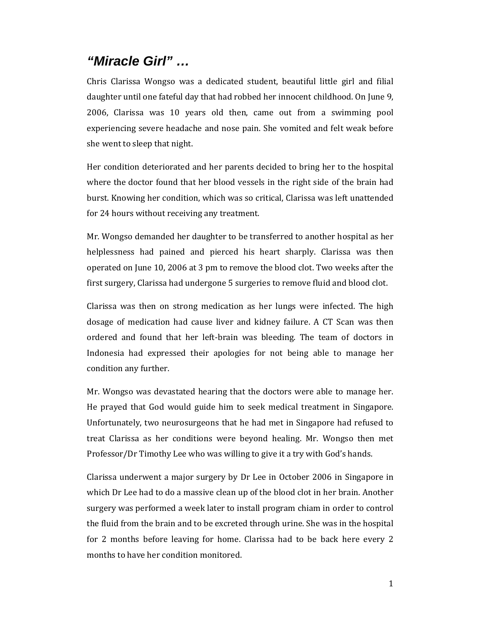## *"Miracle Girl" …*

Chris Clarissa Wongso was a dedicated student, beautiful little girl and filial daughter until one fateful day that had robbed her innocent childhood. On June 9, 2006, Clarissa was 10 years old then, came out from a swimming pool experiencing severe headache and nose pain. She vomited and felt weak before she went to sleep that night.

Her condition deteriorated and her parents decided to bring her to the hospital where the doctor found that her blood vessels in the right side of the brain had burst. Knowing her condition, which was so critical, Clarissa was left unattended for 24 hours without receiving any treatment.

Mr. Wongso demanded her daughter to be transferred to another hospital as her helplessness had pained and pierced his heart sharply. Clarissa was then operated on June 10, 2006 at 3 pm to remove the blood clot. Two weeks after the first surgery, Clarissa had undergone 5 surgeries to remove fluid and blood clot.

Clarissa was then on strong medication as her lungs were infected. The high dosage of medication had cause liver and kidney failure. A CT Scan was then ordered and found that her left-brain was bleeding. The team of doctors in Indonesia had expressed their apologies for not being able to manage her condition any further.

Mr. Wongso was devastated hearing that the doctors were able to manage her. He prayed that God would guide him to seek medical treatment in Singapore. Unfortunately, two neurosurgeons that he had met in Singapore had refused to treat Clarissa as her conditions were beyond healing. Mr. Wongso then met Professor/Dr Timothy Lee who was willing to give it a try with God's hands.

Clarissa underwent a major surgery by Dr Lee in October 2006 in Singapore in which Dr Lee had to do a massive clean up of the blood clot in her brain. Another surgery was performed a week later to install program chiam in order to control the fluid from the brain and to be excreted through urine. She was in the hospital for 2 months before leaving for home. Clarissa had to be back here every 2 months to have her condition monitored.